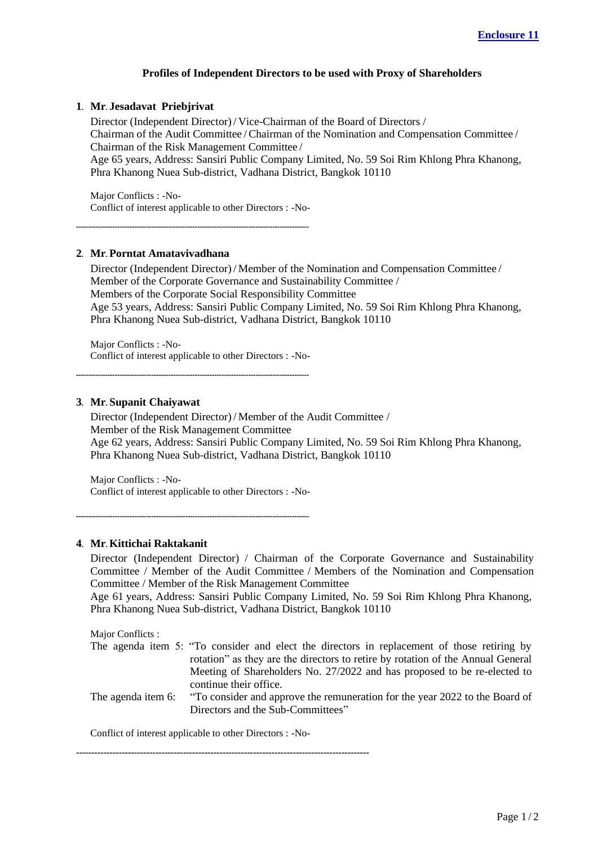# **Profiles of Independent Directors to be used with Proxy of Shareholders**

#### **1. Mr. Jesadavat Priebjrivat**

Director (Independent Director) / Vice-Chairman of the Board of Directors / Chairman of the Audit Committee / Chairman of the Nomination and Compensation Committee / Chairman of the Risk Management Committee /

Age 65 years, Address: Sansiri Public Company Limited, No. 59 Soi Rim Khlong Phra Khanong, Phra Khanong Nuea Sub-district, Vadhana District, Bangkok 10110

Major Conflicts : -No-Conflict of interest applicable to other Directors : -No-

------------------------------------------------------------------------------------------------

## **2. Mr. Porntat Amatavivadhana**

Director (Independent Director) / Member of the Nomination and Compensation Committee / Member of the Corporate Governance and Sustainability Committee / Members of the Corporate Social Responsibility Committee Age 53 years, Address: Sansiri Public Company Limited, No. 59 Soi Rim Khlong Phra Khanong, Phra Khanong Nuea Sub-district, Vadhana District, Bangkok 10110

Major Conflicts : -No-Conflict of interest applicable to other Directors : -No-

------------------------------------------------------------------------------------------------

## **3. Mr. Supanit Chaiyawat**

Director (Independent Director) / Member of the Audit Committee / Member of the Risk Management Committee Age 62 years, Address: Sansiri Public Company Limited, No. 59 Soi Rim Khlong Phra Khanong, Phra Khanong Nuea Sub-district, Vadhana District, Bangkok 10110

Major Conflicts : -No-Conflict of interest applicable to other Directors : -No-

------------------------------------------------------------------------------------------------

#### **4. Mr. Kittichai Raktakanit**

Director (Independent Director) / Chairman of the Corporate Governance and Sustainability Committee / Member of the Audit Committee / Members of the Nomination and Compensation Committee / Member of the Risk Management Committee

Age 61 years, Address: Sansiri Public Company Limited, No. 59 Soi Rim Khlong Phra Khanong, Phra Khanong Nuea Sub-district, Vadhana District, Bangkok 10110

Major Conflicts :

- The agenda item 5: "To consider and elect the directors in replacement of those retiring by rotation" as they are the directors to retire by rotation of the Annual General Meeting of Shareholders No. 27/2022 and has proposed to be re-elected to continue their office.
- The agenda item 6: "To consider and approve the remuneration for the year 2022 to the Board of Directors and the Sub-Committees"

Conflict of interest applicable to other Directors : -No-

------------------------------------------------------------------------------------------------